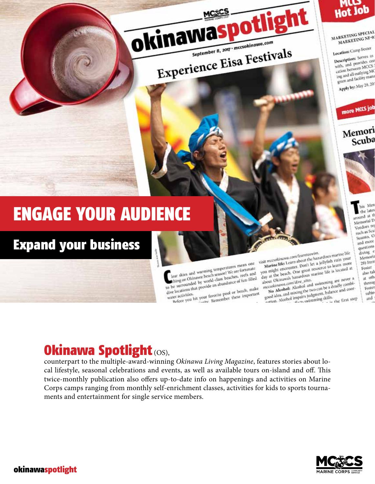

ight

MARKETING SPECIAL MARKETING NF-0.

Location: Camp Foster

Description: Serves as with, and provides con cation between MCCS ing and all outlying MC gram and facility mana Apply by: May 29, 20



# Memori Scuba



Met the lates ir ta battong Memorial D Vendors rej such as Scu Suunto, O and more questions diving e Memoria 29) from Foster also tal at oth throug Foster subje

**Link** 

Marine life: Learn about the hazardous marine life visit meesokinawa.com/learntoswim. you might encounter. Don't let a jellyfish ruin your day at the beach. One great resource to learn more about Okinawa's hazardous marine life is located at

essentially the technol and swimming are never a<br>No Alcohol: Alcohol and swimming are never a mccsokinawa.com/dive\_sites. good idea, and mixing the two can be a deadly combisome means and consists the consequent, balance and coor-<br>corton. Alcohol impairs judgment, balance and coor-

is the first step

# **Okinawa Spotlight (OS),**

**ENGAGE YOUR AUDIENCE** 

**Expand your business** 

counterpart to the multiple-award-winning Okinawa Living Magazine, features stories about local lifestyle, seasonal celebrations and events, as well as available tours on-island and off. This twice-monthly publication also offers up-to-date info on happenings and activities on Marine Corps camps ranging from monthly self-enrichment classes, activities for kids to sports tournaments and entertainment for single service members.

water activities.

lear skies and warming temperatures mean one

to be surrounded by world-class beaches, reefs and

to be surrounded by whenever measures received

met wearships. In your favorite pool or beach, make

tear sears and warming temperatures meaturate

okinawas

September 8, 2017 · mccsokinawa.com

Experience Eisa Festivals



# okinawaspotlight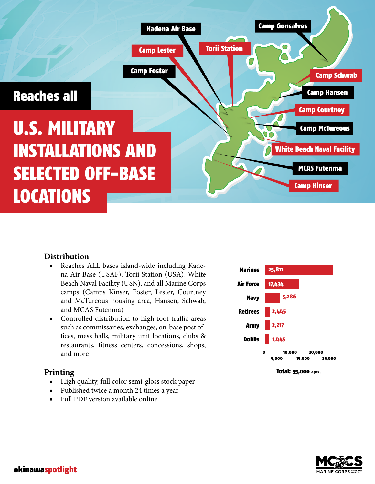

# **Distribution**

- Reaches ALL bases island-wide including Kadena Air Base (USAF), Torii Station (USA), White Beach Naval Facility (USN), and all Marine Corps camps (Camps Kinser, Foster, Lester, Courtney and McTureous housing area, Hansen, Schwab, and MCAS Futenma)
- Controlled distribution to high foot-traffic areas such as commissaries, exchanges, on-base post offices, mess halls, military unit locations, clubs & restaurants, fitness centers, concessions, shops, and more

# **Printing**

- High quality, full color semi-gloss stock paper
- Published twice a month 24 times a year
- Full PDF version available online



Total: 55,000 aprx.

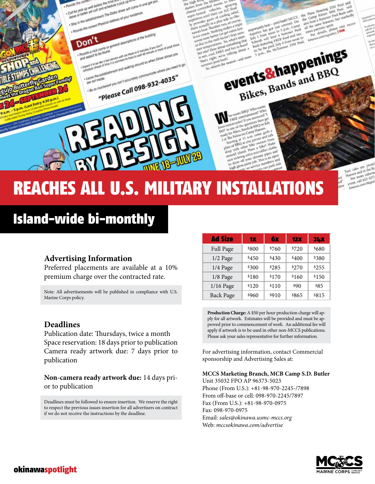# REACHES ALL U.S. MILITARY INSTALLATIONS

**Card page** 

from vehicles and the first of the space of the first of the first of the first of the colling relief

 $-153$ 

e-common vehicle car A/C finales,<br>ether until their car A/C finales,<br>ether until their of cooling reliefs.<br>reprides guass of final side to cart

to the melt for Beth the

er point hash!<br>ser point hash!

it their can ling relies

pais of this side to cours

ts a plus ed course

to the actual to the control of the control of the state of the boost and the poor of the control of the control of the control of the control of the control of the control of the control of the control of the control of t

es the ne

Fight about and firm to book

amber to makes a true<br>Nothing makes a fast<br>setter (or get easen sunt<br>setter (or get) than sunt

are summ

esthing that

ants EBQ? Who we es Blazimment? Who

m of the questions then po pcles? If yes are then post-<br>of the speatons then post-<br>het Bands & BBQ on July<br>het Bands & Hansen For the space of Hansen<br>Rikes Bands & BBQ or at 11 a.m. come and tall<br>at 11 a.m. come and tall<br>at 11 a.m. come and tall ens on Catile come Braballs<br>at 11 a.m. come and talk<br>foll as you persise and talk<br>foll as you per bike owners from etter bike owners from

Make

les bike a bike? hinter<br>d. Have a bike? cloth<br>g extra microfiber cloth c interestiber closes is an op  $d$ riff dol h<sub>aj</sub>

**FREE** 

what's num

# Island-wide bi-monthly

Provide the correct in well before the firms<br>- Colf for pick up well before the schedu

Don't

Provide a nick name of

Toxide the company and below the time For plack up films.<br>Coll for plack up well below the schedule in plack up films an ond get you.<br>Notive or better yet call ond schedule of your residence.<br>• Stoy in the establishment. T

side the difference of penergy descriptions of the building

a to be last a series of description of the series of a series of a series of the series of the series of the series of the series of the series of the series of the series of the series of the series of the series of the

ovide a nick holds bund.<br>Expect it to be like a seal service with car fixed in a mount of mixin or more or increased to be studied to the seal of the seal of the seal of the seal of the seal of the seal of the seal of the

there are the establishment and wolland oround so when three you need to provide the contract of the contract of the contract of the contract of the contract of the contract of the contract of the contract of the contract

Incontract Pay can't accurately communication in a state of the second state of the second state of the second state of the second state of the second state of the second state of the second state of the second state of th

plot the ported Physical address of your residence.

# **Advertising Information**

Preferred placements are available at a 10% premium charge over the contracted rate.

Note: All advertisements will be published in compliance with U.S. Marine Corps policy.

### **Deadlines**

Publication date: Thursdays, twice a month Space reservation: 18 days prior to publication Camera ready artwork due: 7 days prior to publication

**Non-camera ready artwork due:** 14 days prior to publication

Deadlines must be followed to ensure insertion. We reserve the right to respect the previous issues insertion for all advertisers on contract if we do not receive the instructions by the deadline.

| <b>Ad Size</b>   | 1Х    | 6x    | <b>12X</b> | <b>24X</b> |
|------------------|-------|-------|------------|------------|
| Full Page        | \$800 | \$760 | \$720      | \$680      |
| 1/2 Page         | \$450 | \$430 | \$400      | \$380      |
| 1/4 Page         | \$300 | \$285 | \$270      | \$255      |
| 1/8 Page         | \$180 | \$170 | \$160      | \$150      |
| 1/16 Page        | \$120 | \$110 | \$90       | \$85       |
| <b>Back Page</b> | \$960 | \$910 | \$865      | \$815      |

**Production Charge:** A \$50 per hour production charge will apply for all artwork. Estimates will be provided and must be approved prior to commencement of work. An additional fee will apply if artwork is to be used in other non-MCCS publications. Please ask your sales representative for further information.

For advertising information, contact Commercial sponsorship and Advertising Sales at:

### **MCCS Marketing Branch, MCB Camp S.D. Butler**

Unit 35032 FPO AP 96373-5023 Phone (From U.S.): +81-98-970-2245-/7898 From off-base or cell: 098-970-2245/7897 Fax (From U.S.): +81-98-970-0975 Fax: 098-970-0975 Email: *sales@okinawa.usmc-mccs.org* Web: *mccsokinawa.com/advertise*



 $25M$ son pool

onl Bash with

Taxi calm are plentile<br>Hamsen and in the Kit<br>For more information Taxi cabs are the came in the and in the same<br>amen and in informal<br>For more informal rent, call 623-4375<br>For more informed<br>rent, call 623-4375 sall be the pa

ara Henning 50M Pool Plaza Housing<br>Camp Kinser<br>Camp a Summ

the same features

the same features

the same apart.<br>or patricule please

Amenta compagnities, 1 0199

ibe

 $n_{\rm e}$ 

 $\alpha$ 

pool bash? MCCS ortamly best-pool bash? MCCS

fice just a summer pool

e the McTureous 25M Pools, the McTureous 25M Pools,

events & happenings

Bikes, Bands and BBQ

porties has been in 3 kemmer Pools<br>July 1 from month and a seminar multiple<br>Schwab will have a seminar moon to<br>Schwab featuring FREE food and mu<br>Hadi for the pool McTurenus 25M Pool

play 1 from them a Somma and mul-<br>Library will have a Social and mul-<br>Schwab will have FREE from noon to<br>Bash feature pool, July 4 from noon to<br>sic by the McTureous 25M Parol.

okinawaspotlight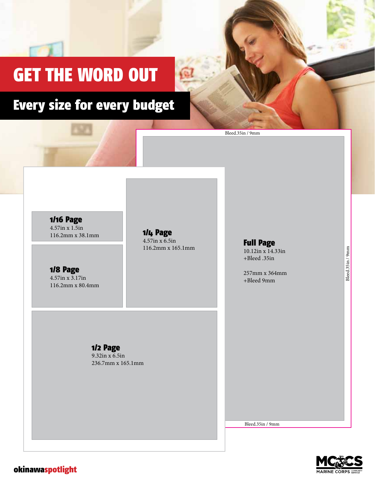# GET THE WORD OUT

# Every size for every budget

1/16 Page 4.57in x 1.5in 116.2mm x 38.1mm

1/4 Page 4.57in x 6.5in 116.2mm x 165.1mm

# Full Page

Bleed.35in / 9mm

10.12in x 14.33in +Bleed .35in

257mm x 364mm +Bleed 9mm

### 1/8 Page 4.57in x 3.17in 116.2mm x 80.4mm

1/2 Page 9.32in x 6.5in

236.7mm x 165.1mm

Bleed.35in / 9mm



Bleed.35in / 9mm

Bleed.35in / 9mm

okinawaspotlight